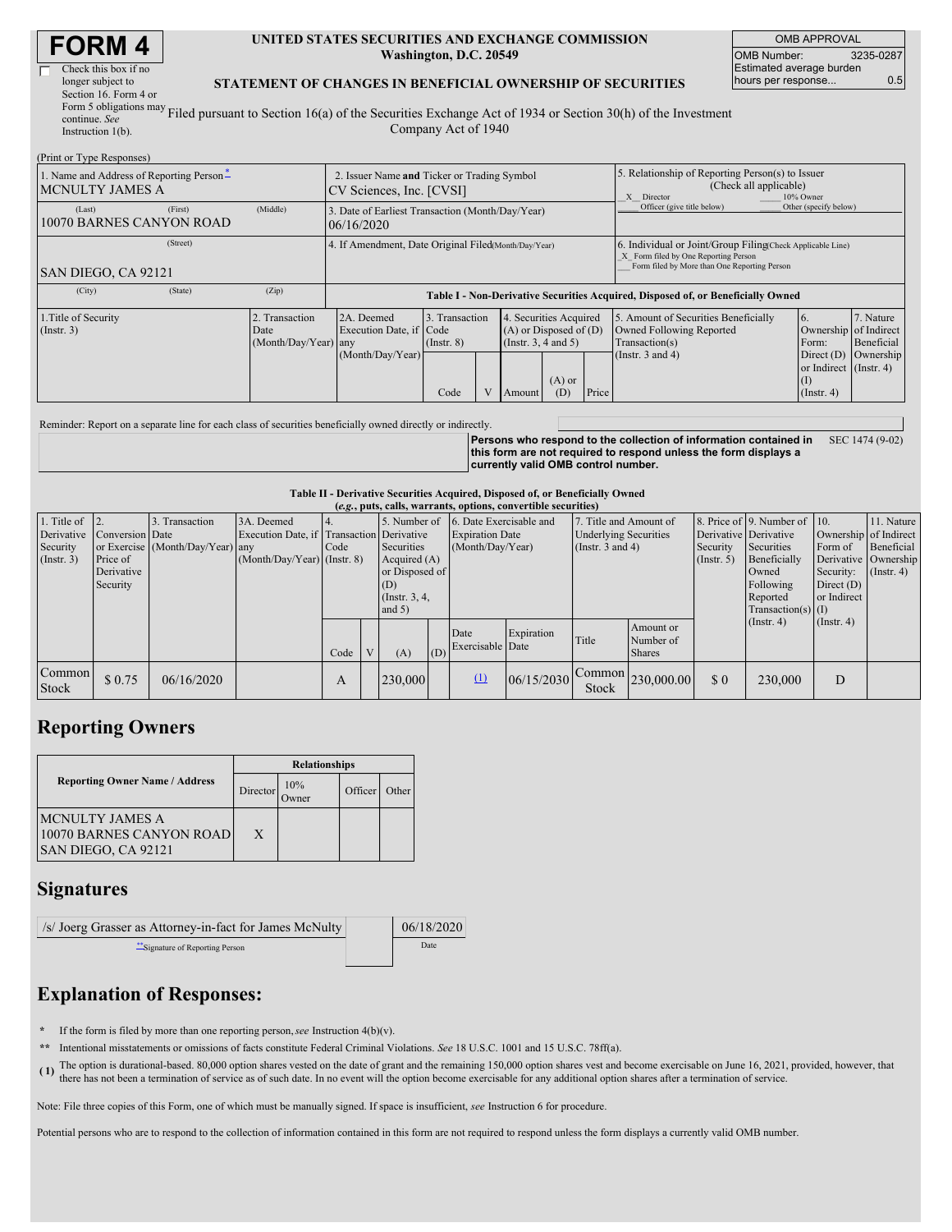| <b>FORM4</b> |
|--------------|
|--------------|

| Check this box if no                    |
|-----------------------------------------|
| longer subject to                       |
| Section 16. Form 4 or                   |
| Form 5 obligations may $\overline{F}$   |
| continue. See                           |
| $L_{1} = L_{2} = L_{1} = L_{2} = 1/(L)$ |

#### **UNITED STATES SECURITIES AND EXCHANGE COMMISSION Washington, D.C. 20549**

OMB APPROVAL OMB Number: 3235-0287 Estimated average burden hours per response... 0.5

### **STATEMENT OF CHANGES IN BENEFICIAL OWNERSHIP OF SECURITIES**

Instruction 1(b). Filed pursuant to Section 16(a) of the Securities Exchange Act of 1934 or Section 30(h) of the Investment Company Act of 1940

| (Print or Type Responses)                        |                                          |                                        |                                                                                  |                                           |  |                                                                                                                         |                            |                       |                                                                                                                                                    |                                                                                                           |                                      |  |
|--------------------------------------------------|------------------------------------------|----------------------------------------|----------------------------------------------------------------------------------|-------------------------------------------|--|-------------------------------------------------------------------------------------------------------------------------|----------------------------|-----------------------|----------------------------------------------------------------------------------------------------------------------------------------------------|-----------------------------------------------------------------------------------------------------------|--------------------------------------|--|
| MCNULTY JAMES A                                  | 1. Name and Address of Reporting Person- |                                        | 2. Issuer Name and Ticker or Trading Symbol<br>CV Sciences, Inc. [CVSI]          |                                           |  |                                                                                                                         |                            |                       | 5. Relationship of Reporting Person(s) to Issuer<br>(Check all applicable)<br>10% Owner<br>X Director                                              |                                                                                                           |                                      |  |
| (Last)                                           | (First)<br>10070 BARNES CANYON ROAD      | (Middle)                               | 3. Date of Earliest Transaction (Month/Day/Year)<br>106/16/2020                  |                                           |  |                                                                                                                         | Officer (give title below) | Other (specify below) |                                                                                                                                                    |                                                                                                           |                                      |  |
| SAN DIEGO, CA 92121                              | (Street)                                 |                                        | 4. If Amendment, Date Original Filed (Month/Day/Year)                            |                                           |  |                                                                                                                         |                            |                       | 6. Individual or Joint/Group Filing Check Applicable Line)<br>X Form filed by One Reporting Person<br>Form filed by More than One Reporting Person |                                                                                                           |                                      |  |
| (City)                                           | (State)                                  | (Zip)                                  | Table I - Non-Derivative Securities Acquired, Disposed of, or Beneficially Owned |                                           |  |                                                                                                                         |                            |                       |                                                                                                                                                    |                                                                                                           |                                      |  |
| 1. Title of Security<br>$($ Instr. 3 $)$<br>Date |                                          | 2. Transaction<br>(Month/Day/Year) any | 2A. Deemed<br>Execution Date, if Code<br>(Month/Day/Year)                        | 3. Transaction<br>$($ Instr. $8)$<br>Code |  | . Securities Acquired<br>4.<br>$(A)$ or Disposed of $(D)$<br>(Insert. 3, 4 and 5)<br>$(A)$ or<br>Price<br>(D)<br>Amount |                            |                       | 5. Amount of Securities Beneficially<br>Owned Following Reported<br>Transaction(s)<br>(Instr. $3$ and $4$ )                                        | 6.<br>Ownership of Indirect<br>Form:<br>Direct $(D)$<br>or Indirect (Instr. 4)<br>(1)<br>$($ Instr. 4 $)$ | 7. Nature<br>Beneficial<br>Ownership |  |

Reminder: Report on a separate line for each class of securities beneficially owned directly or indirectly.

**Persons who respond to the collection of information contained in this form are not required to respond unless the form displays a currently valid OMB control number.** SEC 1474 (9-02)

#### **Table II - Derivative Securities Acquired, Disposed of, or Beneficially Owned**

| (e.g., puts, calls, warrants, options, convertible securities) |                                                       |                                                    |                                                                                          |      |   |                                                                                                    |     |                                                                       |                                                                                 |       |                                            |                              |                                                                                                                                                                                                      |                  |                                                                                               |
|----------------------------------------------------------------|-------------------------------------------------------|----------------------------------------------------|------------------------------------------------------------------------------------------|------|---|----------------------------------------------------------------------------------------------------|-----|-----------------------------------------------------------------------|---------------------------------------------------------------------------------|-------|--------------------------------------------|------------------------------|------------------------------------------------------------------------------------------------------------------------------------------------------------------------------------------------------|------------------|-----------------------------------------------------------------------------------------------|
| 1. Title of<br>Derivative<br>Security<br>$($ Instr. 3 $)$      | Conversion Date<br>Price of<br>Derivative<br>Security | 3. Transaction<br>or Exercise (Month/Day/Year) any | 3A. Deemed<br>Execution Date, if Transaction Derivative<br>$(Month/Day/Year)$ (Instr. 8) | Code |   | 5. Number of<br>Securities<br>Acquired $(A)$<br>or Disposed of<br>(D)<br>(Instr. 3, 4,<br>and $5)$ |     | 6. Date Exercisable and<br><b>Expiration Date</b><br>(Month/Day/Year) | 7. Title and Amount of<br><b>Underlying Securities</b><br>(Instr. $3$ and $4$ ) |       |                                            | Security<br>$($ Instr. 5 $)$ | 8. Price of 9. Number of 10.<br>Derivative Derivative<br>Securities<br>Form of<br>Beneficially<br>Security:<br>Owned<br>Following<br>Direct $(D)$<br>or Indirect<br>Reported<br>$Transaction(s)$ (I) |                  | 11. Nature<br>Ownership of Indirect<br>Beneficial<br>Derivative Ownership<br>$($ Instr. 4 $)$ |
|                                                                |                                                       |                                                    |                                                                                          | Code | V | (A)                                                                                                | (D) | Date<br>Exercisable Date                                              | Expiration                                                                      | Title | Amount or<br>Number of<br><b>Shares</b>    |                              | (Insert. 4)                                                                                                                                                                                          | $($ Instr. 4 $)$ |                                                                                               |
| <b>Common</b><br><b>Stock</b>                                  | \$0.75                                                | 06/16/2020                                         |                                                                                          | A    |   | 230,000                                                                                            |     | (1)                                                                   | 06/15/2030                                                                      | Stock | $\bigcap_{n=1}^{\infty}$ Common 230,000.00 | \$0                          | 230,000                                                                                                                                                                                              | D                |                                                                                               |

## **Reporting Owners**

|                                                                           | <b>Relationships</b> |                     |         |       |  |  |  |  |
|---------------------------------------------------------------------------|----------------------|---------------------|---------|-------|--|--|--|--|
| <b>Reporting Owner Name / Address</b>                                     | Director             | 10%<br><b>Jwner</b> | Officer | Other |  |  |  |  |
| <b>MCNULTY JAMES A</b><br>10070 BARNES CANYON ROAD<br>SAN DIEGO, CA 92121 | X                    |                     |         |       |  |  |  |  |

## **Signatures**

| /s/ Joerg Grasser as Attorney-in-fact for James McNulty | 06/18/2020 |  |  |
|---------------------------------------------------------|------------|--|--|
| Signature of Reporting Person                           | Date       |  |  |

# **Explanation of Responses:**

- **\*** If the form is filed by more than one reporting person,*see* Instruction 4(b)(v).
- **\*\*** Intentional misstatements or omissions of facts constitute Federal Criminal Violations. *See* 18 U.S.C. 1001 and 15 U.S.C. 78ff(a).
- (1) The option is durational-based. 80,000 option shares vested on the date of grant and the remaining 150,000 option shares vest and become exercisable on June 16, 2021, provided, however, that the protocol and the contin there has not been a termination of service as of such date. In no event will the option become exercisable for any additional option shares after a termination of service.

Note: File three copies of this Form, one of which must be manually signed. If space is insufficient, *see* Instruction 6 for procedure.

Potential persons who are to respond to the collection of information contained in this form are not required to respond unless the form displays a currently valid OMB number.